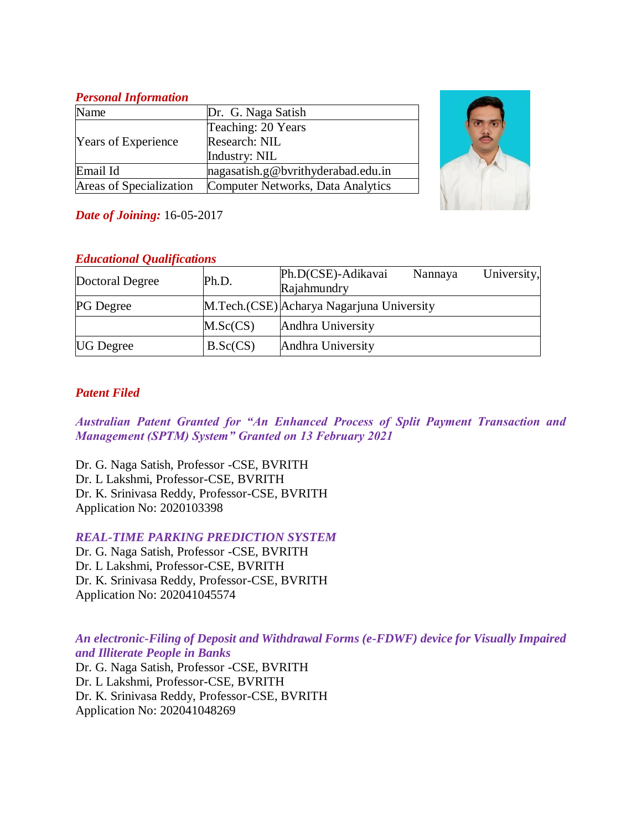## *Personal Information*

| Name                       | Dr. G. Naga Satish                 |  |  |
|----------------------------|------------------------------------|--|--|
|                            | Teaching: 20 Years                 |  |  |
| <b>Years of Experience</b> | Research: NIL                      |  |  |
|                            | Industry: NIL                      |  |  |
| Email Id                   | nagasatish.g@bvrithyderabad.edu.in |  |  |
| Areas of Specialization    | Computer Networks, Data Analytics  |  |  |



*Date of Joining:* 16-05-2017

# *Educational Qualifications*

| Doctoral Degree  | Ph.D.    | Ph.D(CSE)-Adikavai                        | Nannaya | University, |
|------------------|----------|-------------------------------------------|---------|-------------|
|                  |          | Rajahmundry                               |         |             |
| <b>PG</b> Degree |          | M.Tech.(CSE) Acharya Nagarjuna University |         |             |
|                  | M.Sc(CS) | Andhra University                         |         |             |
| <b>UG</b> Degree | B.Sc(CS) | Andhra University                         |         |             |

# *Patent Filed*

*Australian Patent Granted for "An Enhanced Process of Split Payment Transaction and Management (SPTM) System" Granted on 13 February 2021*

Dr. G. Naga Satish, Professor -CSE, BVRITH Dr. L Lakshmi, Professor-CSE, BVRITH Dr. K. Srinivasa Reddy, Professor-CSE, BVRITH Application No: 2020103398

*REAL-TIME PARKING PREDICTION SYSTEM*

Dr. G. Naga Satish, Professor -CSE, BVRITH Dr. L Lakshmi, Professor-CSE, BVRITH Dr. K. Srinivasa Reddy, Professor-CSE, BVRITH Application No: 202041045574

*An electronic-Filing of Deposit and Withdrawal Forms (e-FDWF) device for Visually Impaired and Illiterate People in Banks*

Dr. G. Naga Satish, Professor -CSE, BVRITH Dr. L Lakshmi, Professor-CSE, BVRITH Dr. K. Srinivasa Reddy, Professor-CSE, BVRITH Application No: 202041048269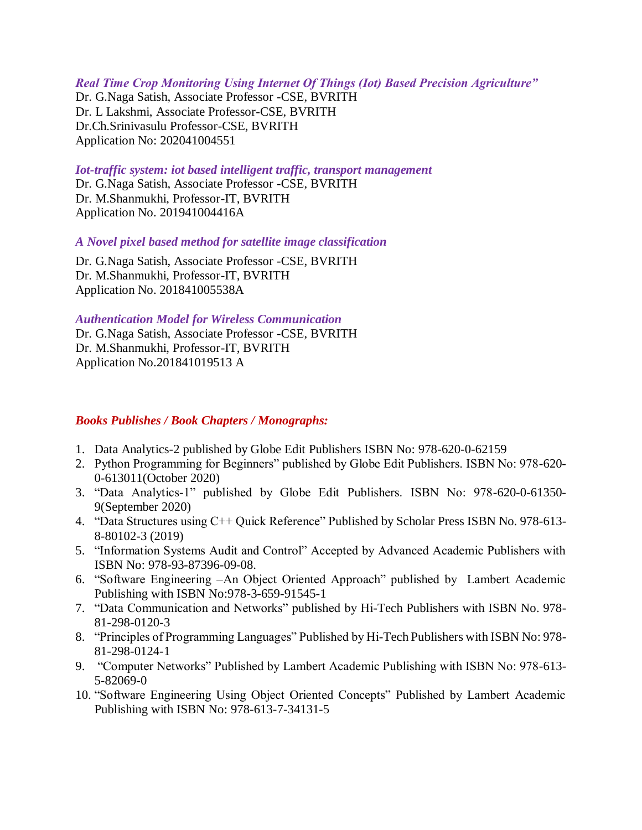#### *Real Time Crop Monitoring Using Internet Of Things (Iot) Based Precision Agriculture"*

Dr. G.Naga Satish, Associate Professor -CSE, BVRITH Dr. L Lakshmi, Associate Professor-CSE, BVRITH Dr.Ch.Srinivasulu Professor-CSE, BVRITH Application No: 202041004551

#### *Iot-traffic system: iot based intelligent traffic, transport management*

Dr. G.Naga Satish, Associate Professor -CSE, BVRITH Dr. M.Shanmukhi, Professor-IT, BVRITH Application No. 201941004416A

#### *A Novel pixel based method for satellite image classification*

Dr. G.Naga Satish, Associate Professor -CSE, BVRITH Dr. M.Shanmukhi, Professor-IT, BVRITH Application No. 201841005538A

#### *Authentication Model for Wireless Communication*

Dr. G.Naga Satish, Associate Professor -CSE, BVRITH Dr. M.Shanmukhi, Professor-IT, BVRITH Application No.201841019513 A

### *Books Publishes / Book Chapters / Monographs:*

- 1. Data Analytics-2 published by Globe Edit Publishers ISBN No: 978-620-0-62159
- 2. Python Programming for Beginners" published by Globe Edit Publishers. ISBN No: 978-620- 0-613011(October 2020)
- 3. "Data Analytics-1" published by Globe Edit Publishers. ISBN No: 978-620-0-61350- 9(September 2020)
- 4. "Data Structures using C++ Quick Reference" Published by Scholar Press ISBN No. 978-613- 8-80102-3 (2019)
- 5. "Information Systems Audit and Control" Accepted by Advanced Academic Publishers with ISBN No: 978-93-87396-09-08.
- 6. "Software Engineering –An Object Oriented Approach" published by Lambert Academic Publishing with ISBN No:978-3-659-91545-1
- 7. "Data Communication and Networks" published by Hi-Tech Publishers with ISBN No. 978- 81-298-0120-3
- 8. "Principles of Programming Languages" Published by Hi-Tech Publishers with ISBN No: 978- 81-298-0124-1
- 9. "Computer Networks" Published by Lambert Academic Publishing with ISBN No: 978-613- 5-82069-0
- 10. "Software Engineering Using Object Oriented Concepts" Published by Lambert Academic Publishing with ISBN No: 978-613-7-34131-5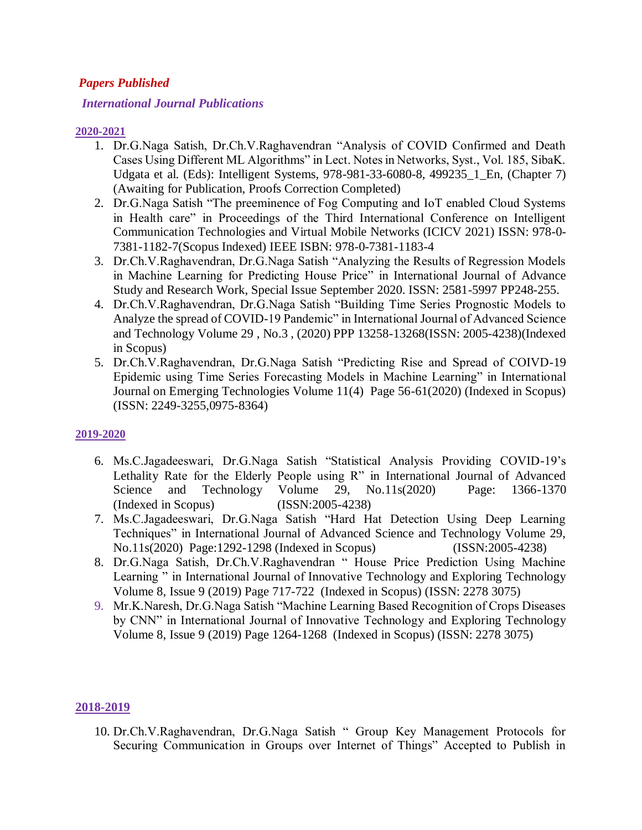## *Papers Published*

### *International Journal Publications*

#### **2020-2021**

- 1. Dr.G.Naga Satish, Dr.Ch.V.Raghavendran "Analysis of COVID Confirmed and Death Cases Using Different ML Algorithms" in Lect. Notes in Networks, Syst., Vol. 185, SibaK. Udgata et al. (Eds): Intelligent Systems, 978-981-33-6080-8, 499235\_1\_En, (Chapter 7) (Awaiting for Publication, Proofs Correction Completed)
- 2. Dr.G.Naga Satish "The preeminence of Fog Computing and IoT enabled Cloud Systems in Health care" in Proceedings of the Third International Conference on Intelligent Communication Technologies and Virtual Mobile Networks (ICICV 2021) ISSN: 978-0- 7381-1182-7(Scopus Indexed) IEEE ISBN: 978-0-7381-1183-4
- 3. Dr.Ch.V.Raghavendran, Dr.G.Naga Satish "Analyzing the Results of Regression Models in Machine Learning for Predicting House Price" in International Journal of Advance Study and Research Work, Special Issue September 2020. ISSN: 2581-5997 PP248-255.
- 4. Dr.Ch.V.Raghavendran, Dr.G.Naga Satish "Building Time Series Prognostic Models to Analyze the spread of COVID-19 Pandemic" in International Journal of Advanced Science and Technology Volume 29 , No.3 , (2020) PPP 13258-13268(ISSN: 2005-4238)(Indexed in Scopus)
- 5. Dr.Ch.V.Raghavendran, Dr.G.Naga Satish "Predicting Rise and Spread of COIVD-19 Epidemic using Time Series Forecasting Models in Machine Learning" in International Journal on Emerging Technologies Volume 11(4) Page 56-61(2020) (Indexed in Scopus) (ISSN: 2249-3255,0975-8364)

### **2019-2020**

- 6. Ms.C.Jagadeeswari, Dr.G.Naga Satish "Statistical Analysis Providing COVID-19's Lethality Rate for the Elderly People using R" in International Journal of Advanced Science and Technology Volume 29, No.11s(2020) Page: 1366-1370 (Indexed in Scopus) (ISSN:2005-4238)
- 7. Ms.C.Jagadeeswari, Dr.G.Naga Satish "Hard Hat Detection Using Deep Learning Techniques" in International Journal of Advanced Science and Technology Volume 29, No.11s(2020) Page:1292-1298 (Indexed in Scopus) (ISSN:2005-4238)
- 8. Dr.G.Naga Satish, Dr.Ch.V.Raghavendran " House Price Prediction Using Machine Learning " in International Journal of Innovative Technology and Exploring Technology Volume 8, Issue 9 (2019) Page 717-722 (Indexed in Scopus) (ISSN: 2278 3075)
- 9. Mr.K.Naresh, Dr.G.Naga Satish "Machine Learning Based Recognition of Crops Diseases by CNN" in International Journal of Innovative Technology and Exploring Technology Volume 8, Issue 9 (2019) Page 1264-1268 (Indexed in Scopus) (ISSN: 2278 3075)

### **2018-2019**

10. Dr.Ch.V.Raghavendran, Dr.G.Naga Satish " Group Key Management Protocols for Securing Communication in Groups over Internet of Things" Accepted to Publish in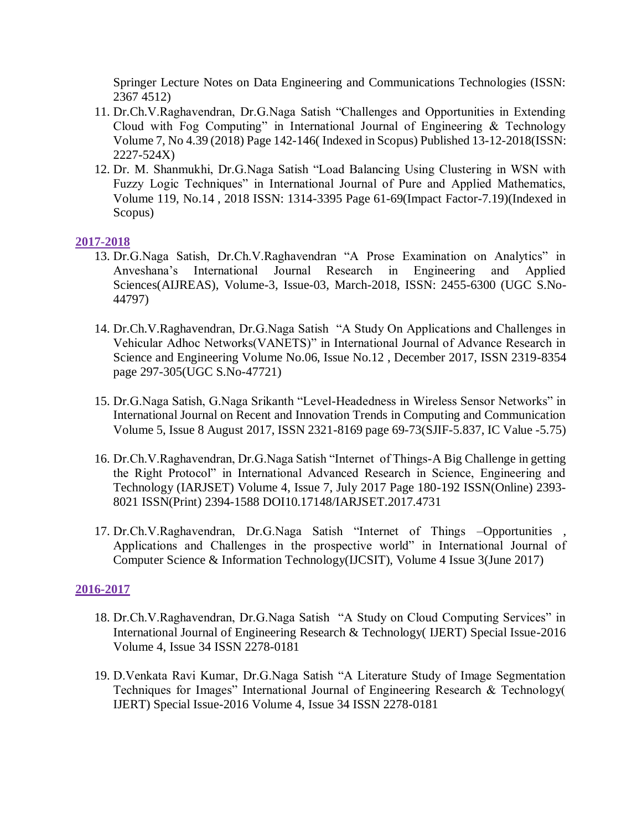Springer Lecture Notes on Data Engineering and Communications Technologies (ISSN: 2367 4512)

- 11. Dr.Ch.V.Raghavendran, Dr.G.Naga Satish "Challenges and Opportunities in Extending Cloud with Fog Computing" in International Journal of Engineering & Technology Volume 7, No 4.39 (2018) Page 142-146( Indexed in Scopus) Published 13-12-2018(ISSN: 2227-524X)
- 12. Dr. M. Shanmukhi, Dr.G.Naga Satish "Load Balancing Using Clustering in WSN with Fuzzy Logic Techniques" in International Journal of Pure and Applied Mathematics, Volume 119, No.14 , 2018 ISSN: 1314-3395 Page 61-69(Impact Factor-7.19)(Indexed in Scopus)

### **2017-2018**

- 13. Dr.G.Naga Satish, Dr.Ch.V.Raghavendran "A Prose Examination on Analytics" in Anveshana's International Journal Research in Engineering and Applied Sciences(AIJREAS), Volume-3, Issue-03, March-2018, ISSN: 2455-6300 (UGC S.No-44797)
- 14. Dr.Ch.V.Raghavendran, Dr.G.Naga Satish "A Study On Applications and Challenges in Vehicular Adhoc Networks(VANETS)" in International Journal of Advance Research in Science and Engineering Volume No.06, Issue No.12 , December 2017, ISSN 2319-8354 page 297-305(UGC S.No-47721)
- 15. Dr.G.Naga Satish, G.Naga Srikanth "Level-Headedness in Wireless Sensor Networks" in International Journal on Recent and Innovation Trends in Computing and Communication Volume 5, Issue 8 August 2017, ISSN 2321-8169 page 69-73(SJIF-5.837, IC Value -5.75)
- 16. Dr.Ch.V.Raghavendran, Dr.G.Naga Satish "Internet of Things-A Big Challenge in getting the Right Protocol" in International Advanced Research in Science, Engineering and Technology (IARJSET) Volume 4, Issue 7, July 2017 Page 180-192 ISSN(Online) 2393- 8021 ISSN(Print) 2394-1588 DOI10.17148/IARJSET.2017.4731
- 17. Dr.Ch.V.Raghavendran, Dr.G.Naga Satish "Internet of Things –Opportunities , Applications and Challenges in the prospective world" in International Journal of Computer Science & Information Technology(IJCSIT), Volume 4 Issue 3(June 2017)

# **2016-2017**

- 18. Dr.Ch.V.Raghavendran, Dr.G.Naga Satish "A Study on Cloud Computing Services" in International Journal of Engineering Research & Technology( IJERT) Special Issue-2016 Volume 4, Issue 34 ISSN 2278-0181
- 19. D.Venkata Ravi Kumar, Dr.G.Naga Satish "A Literature Study of Image Segmentation Techniques for Images" International Journal of Engineering Research & Technology( IJERT) Special Issue-2016 Volume 4, Issue 34 ISSN 2278-0181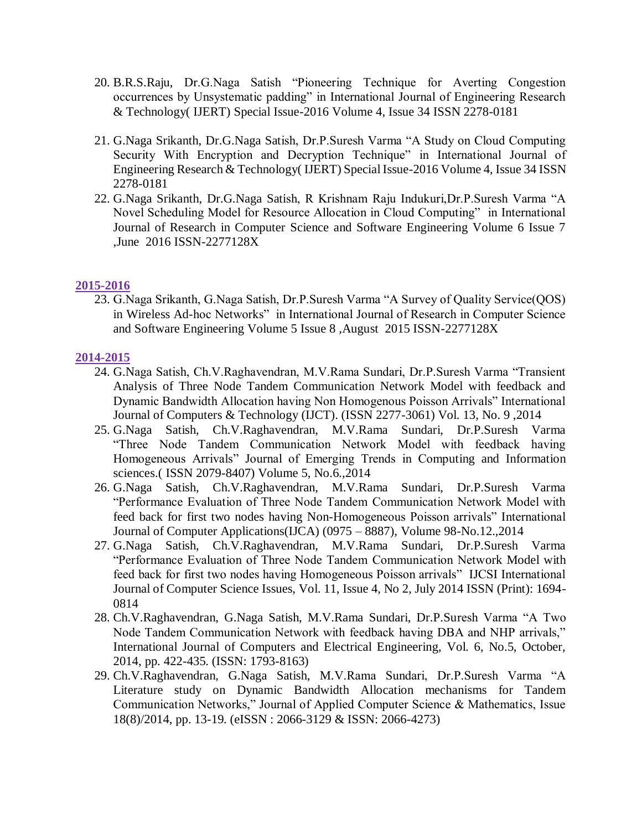- 20. B.R.S.Raju, Dr.G.Naga Satish "Pioneering Technique for Averting Congestion occurrences by Unsystematic padding" in International Journal of Engineering Research & Technology( IJERT) Special Issue-2016 Volume 4, Issue 34 ISSN 2278-0181
- 21. G.Naga Srikanth, Dr.G.Naga Satish, Dr.P.Suresh Varma "A Study on Cloud Computing Security With Encryption and Decryption Technique" in International Journal of Engineering Research & Technology( IJERT) Special Issue-2016 Volume 4, Issue 34 ISSN 2278-0181
- 22. G.Naga Srikanth, Dr.G.Naga Satish, R Krishnam Raju Indukuri,Dr.P.Suresh Varma "A Novel Scheduling Model for Resource Allocation in Cloud Computing" in International Journal of Research in Computer Science and Software Engineering Volume 6 Issue 7 ,June 2016 ISSN-2277128X

### **2015-2016**

23. G.Naga Srikanth, G.Naga Satish, Dr.P.Suresh Varma "A Survey of Quality Service(QOS) in Wireless Ad-hoc Networks" in International Journal of Research in Computer Science and Software Engineering Volume 5 Issue 8 ,August 2015 ISSN-2277128X

## **2014-2015**

- 24. G.Naga Satish, Ch.V.Raghavendran, M.V.Rama Sundari, Dr.P.Suresh Varma "Transient Analysis of Three Node Tandem Communication Network Model with feedback and Dynamic Bandwidth Allocation having Non Homogenous Poisson Arrivals" International Journal of Computers & Technology (IJCT). (ISSN 2277-3061) Vol. 13, No. 9 ,2014
- 25. G.Naga Satish, Ch.V.Raghavendran, M.V.Rama Sundari, Dr.P.Suresh Varma "Three Node Tandem Communication Network Model with feedback having Homogeneous Arrivals" Journal of Emerging Trends in Computing and Information sciences.( ISSN 2079-8407) Volume 5, No.6.,2014
- 26. G.Naga Satish, Ch.V.Raghavendran, M.V.Rama Sundari, Dr.P.Suresh Varma "Performance Evaluation of Three Node Tandem Communication Network Model with feed back for first two nodes having Non-Homogeneous Poisson arrivals" International Journal of Computer Applications(IJCA) (0975 – 8887), Volume 98-No.12.,2014
- 27. G.Naga Satish, Ch.V.Raghavendran, M.V.Rama Sundari, Dr.P.Suresh Varma "Performance Evaluation of Three Node Tandem Communication Network Model with feed back for first two nodes having Homogeneous Poisson arrivals" IJCSI International Journal of Computer Science Issues, Vol. 11, Issue 4, No 2, July 2014 ISSN (Print): 1694- 0814
- 28. Ch.V.Raghavendran, G.Naga Satish, M.V.Rama Sundari, Dr.P.Suresh Varma "A Two Node Tandem Communication Network with feedback having DBA and NHP arrivals," International Journal of Computers and Electrical Engineering, Vol. 6, No.5, October, 2014, pp. 422-435. (ISSN: 1793-8163)
- 29. Ch.V.Raghavendran, G.Naga Satish, M.V.Rama Sundari, Dr.P.Suresh Varma "A Literature study on Dynamic Bandwidth Allocation mechanisms for Tandem Communication Networks," Journal of Applied Computer Science & Mathematics, Issue 18(8)/2014, pp. 13-19. (eISSN : 2066-3129 & ISSN: 2066-4273)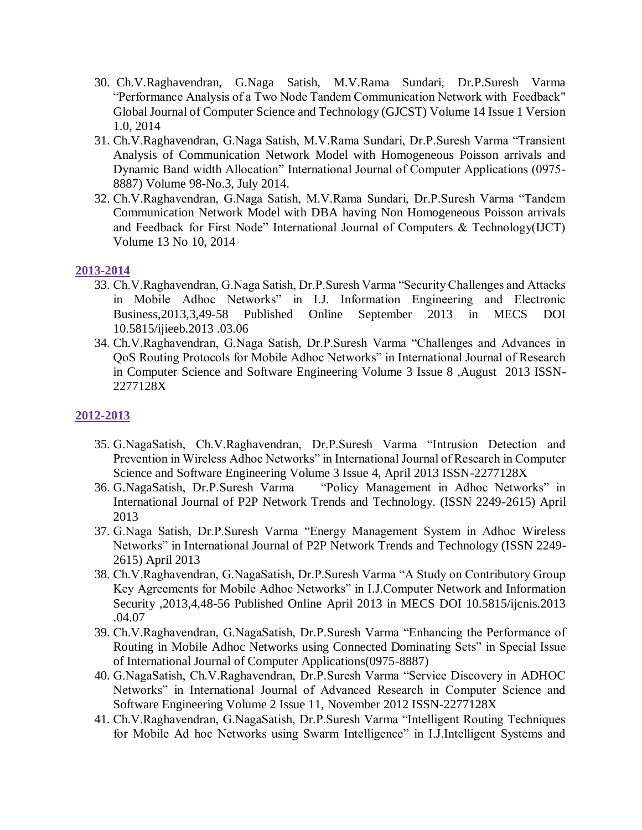- 30. Ch.V.Raghavendran, G.Naga Satish, M.V.Rama Sundari, Dr.P.Suresh Varma "Performance Analysis of a Two Node Tandem Communication Network with Feedback" Global Journal of Computer Science and Technology (GJCST) Volume 14 Issue 1 Version 1.0, 2014
- 31. Ch.V.Raghavendran, G.Naga Satish, M.V.Rama Sundari, Dr.P.Suresh Varma "Transient Analysis of Communication Network Model with Homogeneous Poisson arrivals and Dynamic Band width Allocation" International Journal of Computer Applications (0975- 8887) Volume 98-No.3, July 2014.
- 32. Ch.V.Raghavendran, G.Naga Satish, M.V.Rama Sundari, Dr.P.Suresh Varma "Tandem Communication Network Model with DBA having Non Homogeneous Poisson arrivals and Feedback for First Node" International Journal of Computers & Technology(IJCT) Volume 13 No 10, 2014

## **2013-2014**

- 33. Ch.V.Raghavendran, G.Naga Satish, Dr.P.Suresh Varma "Security Challenges and Attacks in Mobile Adhoc Networks" in I.J. Information Engineering and Electronic Business,2013,3,49-58 Published Online September 2013 in MECS DOI 10.5815/ijieeb.2013 .03.06
- 34. Ch.V.Raghavendran, G.Naga Satish, Dr.P.Suresh Varma "Challenges and Advances in QoS Routing Protocols for Mobile Adhoc Networks" in International Journal of Research in Computer Science and Software Engineering Volume 3 Issue 8 ,August 2013 ISSN-2277128X

## **2012-2013**

- 35. G.NagaSatish, Ch.V.Raghavendran, Dr.P.Suresh Varma "Intrusion Detection and Prevention in Wireless Adhoc Networks" in International Journal of Research in Computer Science and Software Engineering Volume 3 Issue 4, April 2013 ISSN-2277128X
- 36. G.NagaSatish, Dr.P.Suresh Varma "Policy Management in Adhoc Networks" in International Journal of P2P Network Trends and Technology. (ISSN 2249-2615) April 2013
- 37. G.Naga Satish, Dr.P.Suresh Varma "Energy Management System in Adhoc Wireless Networks" in International Journal of P2P Network Trends and Technology (ISSN 2249- 2615) April 2013
- 38. Ch.V.Raghavendran, G.NagaSatish, Dr.P.Suresh Varma "A Study on Contributory Group Key Agreements for Mobile Adhoc Networks" in I.J.Computer Network and Information Security ,2013,4,48-56 Published Online April 2013 in MECS DOI 10.5815/ijcnis.2013 .04.07
- 39. Ch.V.Raghavendran, G.NagaSatish, Dr.P.Suresh Varma "Enhancing the Performance of Routing in Mobile Adhoc Networks using Connected Dominating Sets" in Special Issue of International Journal of Computer Applications(0975-8887)
- 40. G.NagaSatish, Ch.V.Raghavendran, Dr.P.Suresh Varma "Service Discovery in ADHOC Networks" in International Journal of Advanced Research in Computer Science and Software Engineering Volume 2 Issue 11, November 2012 ISSN-2277128X
- 41. Ch.V.Raghavendran, G.NagaSatish, Dr.P.Suresh Varma "Intelligent Routing Techniques for Mobile Ad hoc Networks using Swarm Intelligence" in I.J.Intelligent Systems and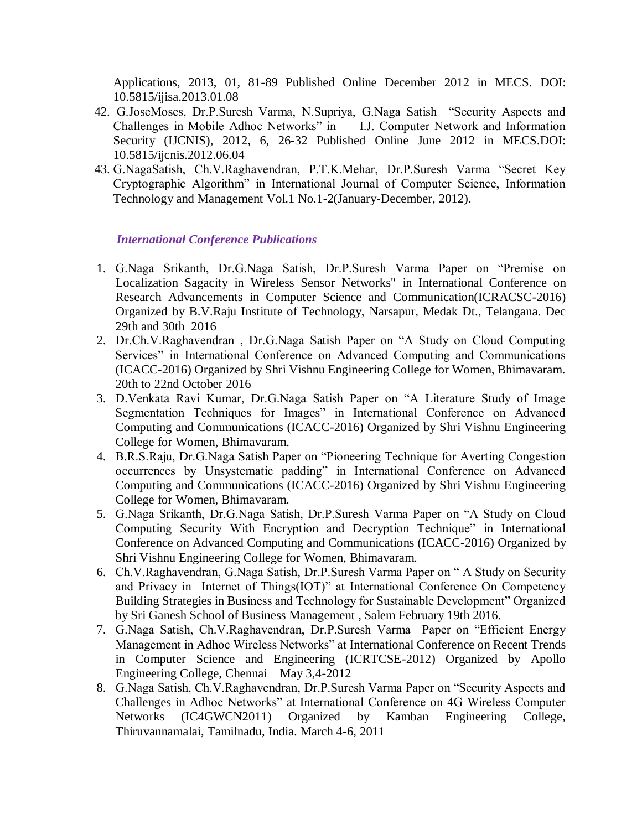Applications, 2013, 01, 81-89 Published Online December 2012 in MECS. DOI: 10.5815/ijisa.2013.01.08

- 42. G.JoseMoses, Dr.P.Suresh Varma, N.Supriya, G.Naga Satish "Security Aspects and Challenges in Mobile Adhoc Networks" in I.J. Computer Network and Information Security (IJCNIS), 2012, 6, 26-32 Published Online June 2012 in MECS.DOI: 10.5815/ijcnis.2012.06.04
- 43. G.NagaSatish, Ch.V.Raghavendran, P.T.K.Mehar, Dr.P.Suresh Varma "Secret Key Cryptographic Algorithm" in International Journal of Computer Science, Information Technology and Management Vol.1 No.1-2(January-December, 2012).

*International Conference Publications*

- 1. G.Naga Srikanth, Dr.G.Naga Satish, Dr.P.Suresh Varma Paper on "Premise on Localization Sagacity in Wireless Sensor Networks" in International Conference on Research Advancements in Computer Science and Communication(ICRACSC-2016) Organized by B.V.Raju Institute of Technology, Narsapur, Medak Dt., Telangana. Dec 29th and 30th 2016
- 2. Dr.Ch.V.Raghavendran , Dr.G.Naga Satish Paper on "A Study on Cloud Computing Services" in International Conference on Advanced Computing and Communications (ICACC-2016) Organized by Shri Vishnu Engineering College for Women, Bhimavaram. 20th to 22nd October 2016
- 3. D.Venkata Ravi Kumar, Dr.G.Naga Satish Paper on "A Literature Study of Image Segmentation Techniques for Images" in International Conference on Advanced Computing and Communications (ICACC-2016) Organized by Shri Vishnu Engineering College for Women, Bhimavaram.
- 4. B.R.S.Raju, Dr.G.Naga Satish Paper on "Pioneering Technique for Averting Congestion occurrences by Unsystematic padding" in International Conference on Advanced Computing and Communications (ICACC-2016) Organized by Shri Vishnu Engineering College for Women, Bhimavaram.
- 5. G.Naga Srikanth, Dr.G.Naga Satish, Dr.P.Suresh Varma Paper on "A Study on Cloud Computing Security With Encryption and Decryption Technique" in International Conference on Advanced Computing and Communications (ICACC-2016) Organized by Shri Vishnu Engineering College for Women, Bhimavaram.
- 6. Ch.V.Raghavendran, G.Naga Satish, Dr.P.Suresh Varma Paper on " A Study on Security and Privacy in Internet of Things(IOT)" at International Conference On Competency Building Strategies in Business and Technology for Sustainable Development" Organized by Sri Ganesh School of Business Management , Salem February 19th 2016.
- 7. G.Naga Satish, Ch.V.Raghavendran, Dr.P.Suresh Varma Paper on "Efficient Energy Management in Adhoc Wireless Networks" at International Conference on Recent Trends in Computer Science and Engineering (ICRTCSE-2012) Organized by Apollo Engineering College, Chennai May 3,4-2012
- 8. G.Naga Satish, Ch.V.Raghavendran, Dr.P.Suresh Varma Paper on "Security Aspects and Challenges in Adhoc Networks" at International Conference on 4G Wireless Computer Networks (IC4GWCN2011) Organized by Kamban Engineering College, Thiruvannamalai, Tamilnadu, India. March 4-6, 2011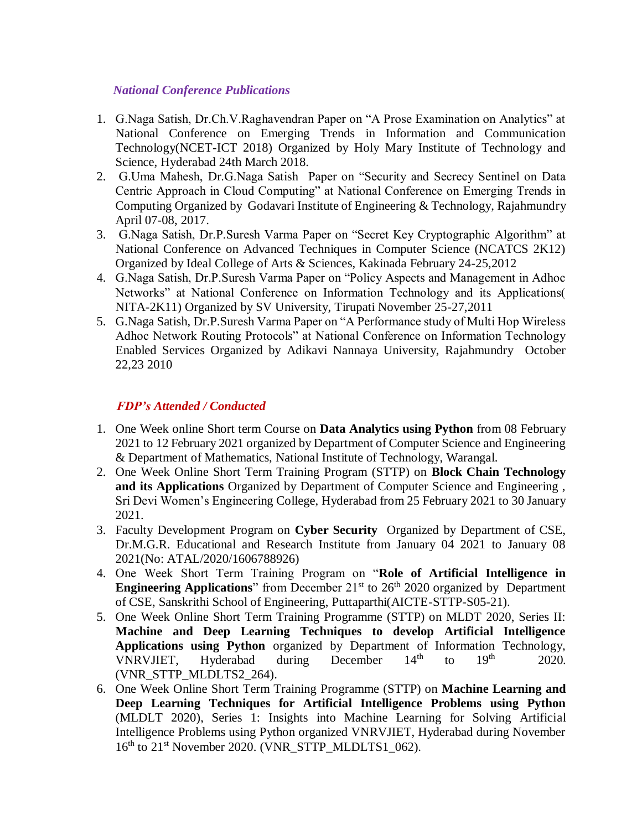## *National Conference Publications*

- 1. G.Naga Satish, Dr.Ch.V.Raghavendran Paper on "A Prose Examination on Analytics" at National Conference on Emerging Trends in Information and Communication Technology(NCET-ICT 2018) Organized by Holy Mary Institute of Technology and Science, Hyderabad 24th March 2018.
- 2. G.Uma Mahesh, Dr.G.Naga Satish Paper on "Security and Secrecy Sentinel on Data Centric Approach in Cloud Computing" at National Conference on Emerging Trends in Computing Organized by Godavari Institute of Engineering & Technology, Rajahmundry April 07-08, 2017.
- 3. G.Naga Satish, Dr.P.Suresh Varma Paper on "Secret Key Cryptographic Algorithm" at National Conference on Advanced Techniques in Computer Science (NCATCS 2K12) Organized by Ideal College of Arts & Sciences, Kakinada February 24-25,2012
- 4. G.Naga Satish, Dr.P.Suresh Varma Paper on "Policy Aspects and Management in Adhoc Networks" at National Conference on Information Technology and its Applications( NITA-2K11) Organized by SV University, Tirupati November 25-27,2011
- 5. G.Naga Satish, Dr.P.Suresh Varma Paper on "A Performance study of Multi Hop Wireless Adhoc Network Routing Protocols" at National Conference on Information Technology Enabled Services Organized by Adikavi Nannaya University, Rajahmundry October 22,23 2010

# *FDP's Attended / Conducted*

- 1. One Week online Short term Course on **Data Analytics using Python** from 08 February 2021 to 12 February 2021 organized by Department of Computer Science and Engineering & Department of Mathematics, National Institute of Technology, Warangal.
- 2. One Week Online Short Term Training Program (STTP) on **Block Chain Technology and its Applications** Organized by Department of Computer Science and Engineering , Sri Devi Women's Engineering College, Hyderabad from 25 February 2021 to 30 January 2021.
- 3. Faculty Development Program on **Cyber Security** Organized by Department of CSE, Dr.M.G.R. Educational and Research Institute from January 04 2021 to January 08 2021(No: ATAL/2020/1606788926)
- 4. One Week Short Term Training Program on "**Role of Artificial Intelligence in Engineering Applications**" from December 21<sup>st</sup> to 26<sup>th</sup> 2020 organized by Department of CSE, Sanskrithi School of Engineering, Puttaparthi(AICTE-STTP-S05-21).
- 5. One Week Online Short Term Training Programme (STTP) on MLDT 2020, Series II: **Machine and Deep Learning Techniques to develop Artificial Intelligence Applications using Python** organized by Department of Information Technology, VNRVJIET, Hyderabad during December  $14<sup>th</sup>$  to  $19<sup>th</sup>$  2020. (VNR\_STTP\_MLDLTS2\_264).
- 6. One Week Online Short Term Training Programme (STTP) on **Machine Learning and Deep Learning Techniques for Artificial Intelligence Problems using Python** (MLDLT 2020), Series 1: Insights into Machine Learning for Solving Artificial Intelligence Problems using Python organized VNRVJIET, Hyderabad during November  $16<sup>th</sup>$  to  $21<sup>st</sup>$  November 2020. (VNR\_STTP\_MLDLTS1\_062).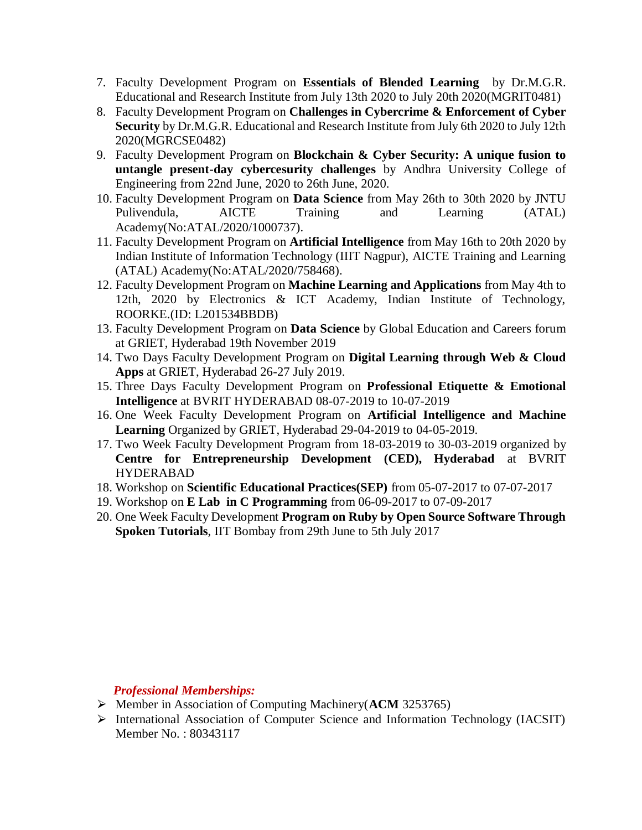- 7. Faculty Development Program on **Essentials of Blended Learning** by Dr.M.G.R. Educational and Research Institute from July 13th 2020 to July 20th 2020(MGRIT0481)
- 8. Faculty Development Program on **Challenges in Cybercrime & Enforcement of Cyber Security** by Dr.M.G.R. Educational and Research Institute from July 6th 2020 to July 12th 2020(MGRCSE0482)
- 9. Faculty Development Program on **Blockchain & Cyber Security: A unique fusion to untangle present-day cybercesurity challenges** by Andhra University College of Engineering from 22nd June, 2020 to 26th June, 2020.
- 10. Faculty Development Program on **Data Science** from May 26th to 30th 2020 by JNTU Pulivendula, AICTE Training and Learning (ATAL) Academy(No:ATAL/2020/1000737).
- 11. Faculty Development Program on **Artificial Intelligence** from May 16th to 20th 2020 by Indian Institute of Information Technology (IIIT Nagpur), AICTE Training and Learning (ATAL) Academy(No:ATAL/2020/758468).
- 12. Faculty Development Program on **Machine Learning and Applications** from May 4th to 12th, 2020 by Electronics & ICT Academy, Indian Institute of Technology, ROORKE.(ID: L201534BBDB)
- 13. Faculty Development Program on **Data Science** by Global Education and Careers forum at GRIET, Hyderabad 19th November 2019
- 14. Two Days Faculty Development Program on **Digital Learning through Web & Cloud Apps** at GRIET, Hyderabad 26-27 July 2019.
- 15. Three Days Faculty Development Program on **Professional Etiquette & Emotional Intelligence** at BVRIT HYDERABAD 08-07-2019 to 10-07-2019
- 16. One Week Faculty Development Program on **Artificial Intelligence and Machine Learning** Organized by GRIET, Hyderabad 29-04-2019 to 04-05-2019.
- 17. Two Week Faculty Development Program from 18-03-2019 to 30-03-2019 organized by **Centre for Entrepreneurship Development (CED), Hyderabad** at BVRIT HYDERABAD
- 18. Workshop on **Scientific Educational Practices(SEP)** from 05-07-2017 to 07-07-2017
- 19. Workshop on **E Lab in C Programming** from 06-09-2017 to 07-09-2017
- 20. One Week Faculty Development **Program on Ruby by Open Source Software Through Spoken Tutorials**, IIT Bombay from 29th June to 5th July 2017

## *Professional Memberships:*

- ⮚ Member in Association of Computing Machinery(**ACM** 3253765)
- ⮚ International Association of Computer Science and Information Technology (IACSIT) Member No. : 80343117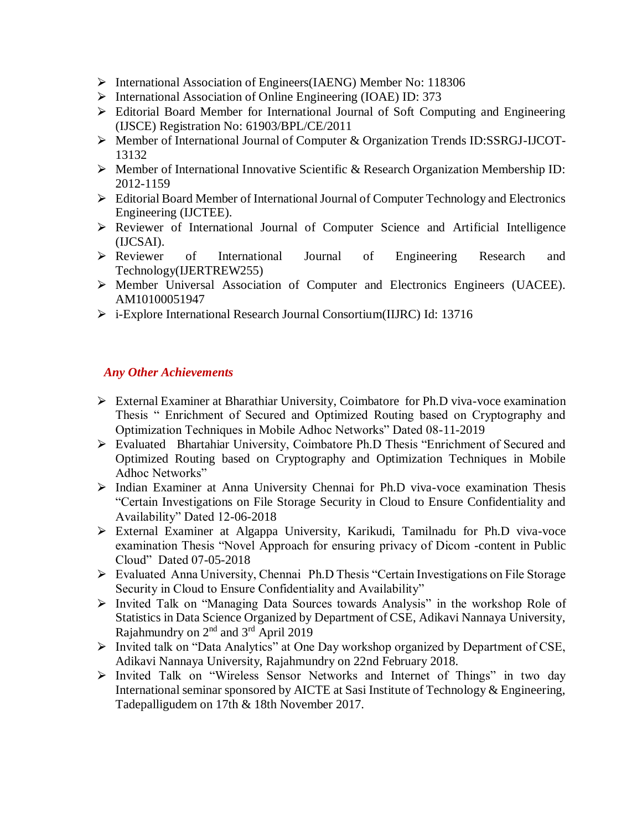- ⮚ International Association of Engineers(IAENG) Member No: 118306
- ⮚ International Association of Online Engineering (IOAE) ID: 373
- Editorial Board Member for International Journal of Soft Computing and Engineering (IJSCE) Registration No: 61903/BPL/CE/2011
- ⮚ Member of International Journal of Computer & Organization Trends ID:SSRGJ-IJCOT-13132
- ⮚ Member of International Innovative Scientific & Research Organization Membership ID: 2012-1159
- $\triangleright$  Editorial Board Member of International Journal of Computer Technology and Electronics Engineering (IJCTEE).
- ⮚ Reviewer of International Journal of Computer Science and Artificial Intelligence (IJCSAI).
- ⮚ Reviewer of International Journal of Engineering Research and Technology(IJERTREW255)
- ⮚ Member Universal Association of Computer and Electronics Engineers (UACEE). AM10100051947
- ⮚ i-Explore International Research Journal Consortium(IIJRC) Id: 13716

### *Any Other Achievements*

- ⮚ External Examiner at Bharathiar University, Coimbatore for Ph.D viva-voce examination Thesis " Enrichment of Secured and Optimized Routing based on Cryptography and Optimization Techniques in Mobile Adhoc Networks" Dated 08-11-2019
- ⮚ Evaluated Bhartahiar University, Coimbatore Ph.D Thesis "Enrichment of Secured and Optimized Routing based on Cryptography and Optimization Techniques in Mobile Adhoc Networks"
- ⮚ Indian Examiner at Anna University Chennai for Ph.D viva-voce examination Thesis "Certain Investigations on File Storage Security in Cloud to Ensure Confidentiality and Availability" Dated 12-06-2018
- ⮚ External Examiner at Algappa University, Karikudi, Tamilnadu for Ph.D viva-voce examination Thesis "Novel Approach for ensuring privacy of Dicom -content in Public Cloud" Dated 07-05-2018
- ⮚ Evaluated Anna University, Chennai Ph.D Thesis "Certain Investigations on File Storage Security in Cloud to Ensure Confidentiality and Availability"
- ⮚ Invited Talk on "Managing Data Sources towards Analysis" in the workshop Role of Statistics in Data Science Organized by Department of CSE, Adikavi Nannaya University, Rajahmundry on  $2<sup>nd</sup>$  and  $3<sup>rd</sup>$  April 2019
- ⮚ Invited talk on "Data Analytics" at One Day workshop organized by Department of CSE, Adikavi Nannaya University, Rajahmundry on 22nd February 2018.
- ⮚ Invited Talk on "Wireless Sensor Networks and Internet of Things" in two day International seminar sponsored by AICTE at Sasi Institute of Technology & Engineering, Tadepalligudem on 17th & 18th November 2017.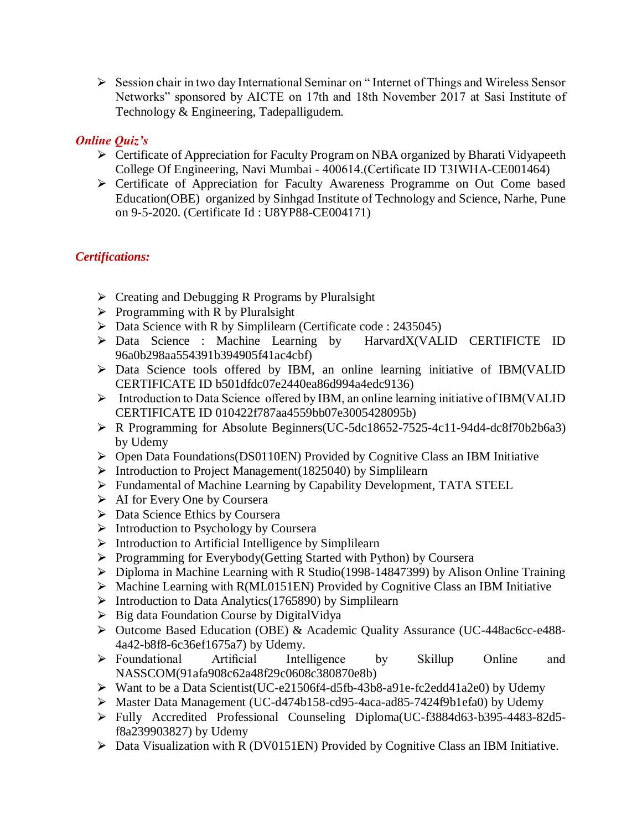⮚ Session chair in two day International Seminar on " Internet of Things and Wireless Sensor Networks" sponsored by AICTE on 17th and 18th November 2017 at Sasi Institute of Technology & Engineering, Tadepalligudem.

# *Online Quiz's*

- ⮚ Certificate of Appreciation for Faculty Program on NBA organized by Bharati Vidyapeeth College Of Engineering, Navi Mumbai - 400614.(Certificate ID T3IWHA-CE001464)
- ⮚ Certificate of Appreciation for Faculty Awareness Programme on Out Come based Education(OBE) organized by Sinhgad Institute of Technology and Science, Narhe, Pune on 9-5-2020. (Certificate Id : U8YP88-CE004171)

# *Certifications:*

- $\triangleright$  Creating and Debugging R Programs by Pluralsight
- $\triangleright$  Programming with R by Pluralsight
- $\triangleright$  Data Science with R by Simplilearn (Certificate code : 2435045)
- ⮚ Data Science : Machine Learning by HarvardX(VALID CERTIFICTE ID 96a0b298aa554391b394905f41ac4cbf)
- $\triangleright$  Data Science tools offered by IBM, an online learning initiative of IBM(VALID CERTIFICATE ID b501dfdc07e2440ea86d994a4edc9136)
- ⮚ Introduction to Data Science offered by IBM, an online learning initiative of IBM(VALID CERTIFICATE ID 010422f787aa4559bb07e3005428095b)
- $\triangleright$  R Programming for Absolute Beginners(UC-5dc18652-7525-4c11-94d4-dc8f70b2b6a3) by Udemy
- $\triangleright$  Open Data Foundations(DS0110EN) Provided by Cognitive Class an IBM Initiative
- $\triangleright$  Introduction to Project Management(1825040) by Simplilearn
- ⮚ Fundamental of Machine Learning by Capability Development, TATA STEEL
- $\triangleright$  AI for Every One by Coursera
- ⮚ Data Science Ethics by Coursera
- $\triangleright$  Introduction to Psychology by Coursera
- $\triangleright$  Introduction to Artificial Intelligence by Simplilearn
- ⮚ Programming for Everybody(Getting Started with Python) by Coursera
- $\triangleright$  Diploma in Machine Learning with R Studio(1998-14847399) by Alison Online Training
- $\triangleright$  Machine Learning with R(ML0151EN) Provided by Cognitive Class an IBM Initiative
- $\triangleright$  Introduction to Data Analytics(1765890) by Simplilearn
- $\triangleright$  Big data Foundation Course by DigitalVidya
- ⮚ Outcome Based Education (OBE) & Academic Quality Assurance (UC-448ac6cc-e488- 4a42-b8f8-6c36ef1675a7) by Udemy.
- > Foundational Artificial Intelligence by Skillup Online and NASSCOM(91afa908c62a48f29c0608c380870e8b)
- ⮚ Want to be a Data Scientist(UC-e21506f4-d5fb-43b8-a91e-fc2edd41a2e0) by Udemy
- ⮚ Master Data Management (UC-d474b158-cd95-4aca-ad85-7424f9b1efa0) by Udemy
- ⮚ Fully Accredited Professional Counseling Diploma(UC-f3884d63-b395-4483-82d5 f8a239903827) by Udemy
- $\triangleright$  Data Visualization with R (DV0151EN) Provided by Cognitive Class an IBM Initiative.